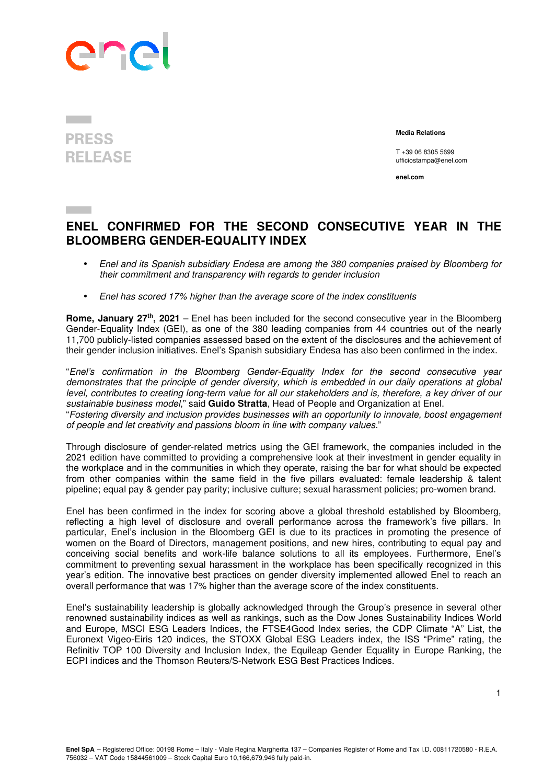

## **PRESS RELEASE**

 **Media Relations** 

T +39 06 8305 5699 ufficiostampa@enel.com

**enel.com**

## **ENEL CONFIRMED FOR THE SECOND CONSECUTIVE YEAR IN THE BLOOMBERG GENDER-EQUALITY INDEX**

- Enel and its Spanish subsidiary Endesa are among the 380 companies praised by Bloomberg for their commitment and transparency with regards to gender inclusion
- Enel has scored 17% higher than the average score of the index constituents

**Rome, January 27th, 2021** – Enel has been included for the second consecutive year in the Bloomberg Gender-Equality Index (GEI), as one of the 380 leading companies from 44 countries out of the nearly 11,700 publicly-listed companies assessed based on the extent of the disclosures and the achievement of their gender inclusion initiatives. Enel's Spanish subsidiary Endesa has also been confirmed in the index.

"Enel's confirmation in the Bloomberg Gender-Equality Index for the second consecutive year demonstrates that the principle of gender diversity, which is embedded in our daily operations at global level, contributes to creating long-term value for all our stakeholders and is, therefore, a key driver of our sustainable business model," said **Guido Stratta**, Head of People and Organization at Enel. "Fostering diversity and inclusion provides businesses with an opportunity to innovate, boost engagement of people and let creativity and passions bloom in line with company values."

Through disclosure of gender-related metrics using the GEI framework, the companies included in the 2021 edition have committed to providing a comprehensive look at their investment in gender equality in the workplace and in the communities in which they operate, raising the bar for what should be expected from other companies within the same field in the five pillars evaluated: female leadership & talent pipeline; equal pay & gender pay parity; inclusive culture; sexual harassment policies; pro-women brand.

Enel has been confirmed in the index for scoring above a global threshold established by Bloomberg, reflecting a high level of disclosure and overall performance across the framework's five pillars. In particular, Enel's inclusion in the Bloomberg GEI is due to its practices in promoting the presence of women on the Board of Directors, management positions, and new hires, contributing to equal pay and conceiving social benefits and work-life balance solutions to all its employees. Furthermore, Enel's commitment to preventing sexual harassment in the workplace has been specifically recognized in this year's edition. The innovative best practices on gender diversity implemented allowed Enel to reach an overall performance that was 17% higher than the average score of the index constituents.

Enel's sustainability leadership is globally acknowledged through the Group's presence in several other renowned sustainability indices as well as rankings, such as the Dow Jones Sustainability Indices World and Europe, MSCI ESG Leaders Indices, the FTSE4Good Index series, the CDP Climate "A" List, the Euronext Vigeo-Eiris 120 indices, the STOXX Global ESG Leaders index, the ISS "Prime" rating, the Refinitiv TOP 100 Diversity and Inclusion Index, the Equileap Gender Equality in Europe Ranking, the ECPI indices and the Thomson Reuters/S-Network ESG Best Practices Indices.